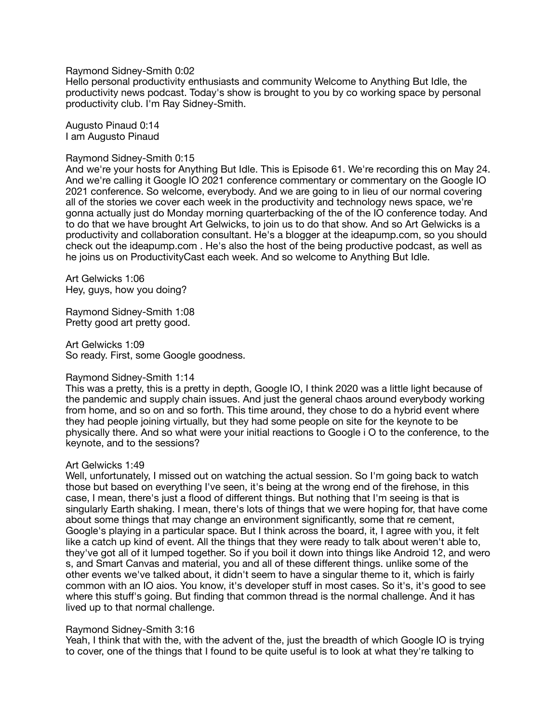Raymond Sidney-Smith 0:02

Hello personal productivity enthusiasts and community Welcome to Anything But Idle, the productivity news podcast. Today's show is brought to you by co working space by personal productivity club. I'm Ray Sidney-Smith.

Augusto Pinaud 0:14 I am Augusto Pinaud

#### Raymond Sidney-Smith 0:15

And we're your hosts for Anything But Idle. This is Episode 61. We're recording this on May 24. And we're calling it Google IO 2021 conference commentary or commentary on the Google IO 2021 conference. So welcome, everybody. And we are going to in lieu of our normal covering all of the stories we cover each week in the productivity and technology news space, we're gonna actually just do Monday morning quarterbacking of the of the IO conference today. And to do that we have brought Art Gelwicks, to join us to do that show. And so Art Gelwicks is a productivity and collaboration consultant. He's a blogger at the ideapump.com, so you should check out the ideapump.com . He's also the host of the being productive podcast, as well as he joins us on ProductivityCast each week. And so welcome to Anything But Idle.

Art Gelwicks 1:06 Hey, guys, how you doing?

Raymond Sidney-Smith 1:08 Pretty good art pretty good.

Art Gelwicks 1:09 So ready. First, some Google goodness.

## Raymond Sidney-Smith 1:14

This was a pretty, this is a pretty in depth, Google IO, I think 2020 was a little light because of the pandemic and supply chain issues. And just the general chaos around everybody working from home, and so on and so forth. This time around, they chose to do a hybrid event where they had people joining virtually, but they had some people on site for the keynote to be physically there. And so what were your initial reactions to Google i O to the conference, to the keynote, and to the sessions?

## Art Gelwicks 1:49

Well, unfortunately, I missed out on watching the actual session. So I'm going back to watch those but based on everything I've seen, it's being at the wrong end of the firehose, in this case, I mean, there's just a flood of different things. But nothing that I'm seeing is that is singularly Earth shaking. I mean, there's lots of things that we were hoping for, that have come about some things that may change an environment significantly, some that re cement, Google's playing in a particular space. But I think across the board, it, I agree with you, it felt like a catch up kind of event. All the things that they were ready to talk about weren't able to, they've got all of it lumped together. So if you boil it down into things like Android 12, and wero s, and Smart Canvas and material, you and all of these different things. unlike some of the other events we've talked about, it didn't seem to have a singular theme to it, which is fairly common with an IO aios. You know, it's developer stuff in most cases. So it's, it's good to see where this stuff's going. But finding that common thread is the normal challenge. And it has lived up to that normal challenge.

## Raymond Sidney-Smith 3:16

Yeah, I think that with the, with the advent of the, just the breadth of which Google IO is trying to cover, one of the things that I found to be quite useful is to look at what they're talking to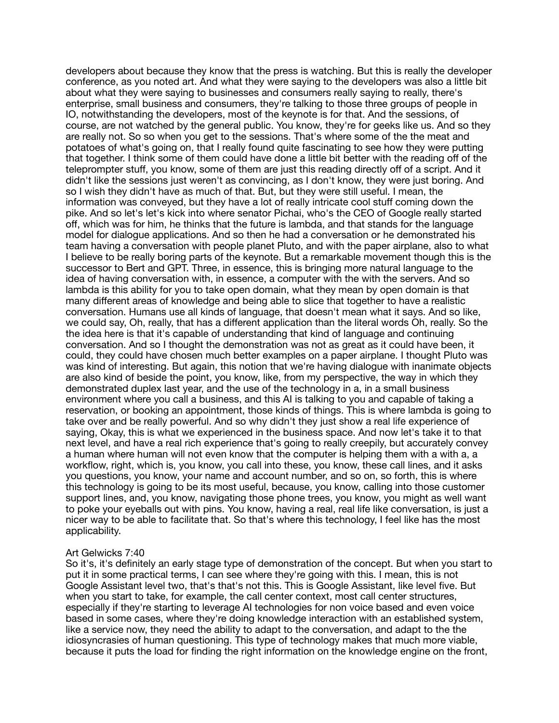developers about because they know that the press is watching. But this is really the developer conference, as you noted art. And what they were saying to the developers was also a little bit about what they were saying to businesses and consumers really saying to really, there's enterprise, small business and consumers, they're talking to those three groups of people in IO, notwithstanding the developers, most of the keynote is for that. And the sessions, of course, are not watched by the general public. You know, they're for geeks like us. And so they are really not. So so when you get to the sessions. That's where some of the the meat and potatoes of what's going on, that I really found quite fascinating to see how they were putting that together. I think some of them could have done a little bit better with the reading off of the teleprompter stuff, you know, some of them are just this reading directly off of a script. And it didn't like the sessions just weren't as convincing, as I don't know, they were just boring. And so I wish they didn't have as much of that. But, but they were still useful. I mean, the information was conveyed, but they have a lot of really intricate cool stuff coming down the pike. And so let's let's kick into where senator Pichai, who's the CEO of Google really started off, which was for him, he thinks that the future is lambda, and that stands for the language model for dialogue applications. And so then he had a conversation or he demonstrated his team having a conversation with people planet Pluto, and with the paper airplane, also to what I believe to be really boring parts of the keynote. But a remarkable movement though this is the successor to Bert and GPT. Three, in essence, this is bringing more natural language to the idea of having conversation with, in essence, a computer with the with the servers. And so lambda is this ability for you to take open domain, what they mean by open domain is that many different areas of knowledge and being able to slice that together to have a realistic conversation. Humans use all kinds of language, that doesn't mean what it says. And so like, we could say, Oh, really, that has a different application than the literal words Oh, really. So the the idea here is that it's capable of understanding that kind of language and continuing conversation. And so I thought the demonstration was not as great as it could have been, it could, they could have chosen much better examples on a paper airplane. I thought Pluto was was kind of interesting. But again, this notion that we're having dialogue with inanimate objects are also kind of beside the point, you know, like, from my perspective, the way in which they demonstrated duplex last year, and the use of the technology in a, in a small business environment where you call a business, and this AI is talking to you and capable of taking a reservation, or booking an appointment, those kinds of things. This is where lambda is going to take over and be really powerful. And so why didn't they just show a real life experience of saying, Okay, this is what we experienced in the business space. And now let's take it to that next level, and have a real rich experience that's going to really creepily, but accurately convey a human where human will not even know that the computer is helping them with a with a, a workflow, right, which is, you know, you call into these, you know, these call lines, and it asks you questions, you know, your name and account number, and so on, so forth, this is where this technology is going to be its most useful, because, you know, calling into those customer support lines, and, you know, navigating those phone trees, you know, you might as well want to poke your eyeballs out with pins. You know, having a real, real life like conversation, is just a nicer way to be able to facilitate that. So that's where this technology, I feel like has the most applicability.

## Art Gelwicks 7:40

So it's, it's definitely an early stage type of demonstration of the concept. But when you start to put it in some practical terms, I can see where they're going with this. I mean, this is not Google Assistant level two, that's that's not this. This is Google Assistant, like level five. But when you start to take, for example, the call center context, most call center structures, especially if they're starting to leverage AI technologies for non voice based and even voice based in some cases, where they're doing knowledge interaction with an established system, like a service now, they need the ability to adapt to the conversation, and adapt to the the idiosyncrasies of human questioning. This type of technology makes that much more viable, because it puts the load for finding the right information on the knowledge engine on the front,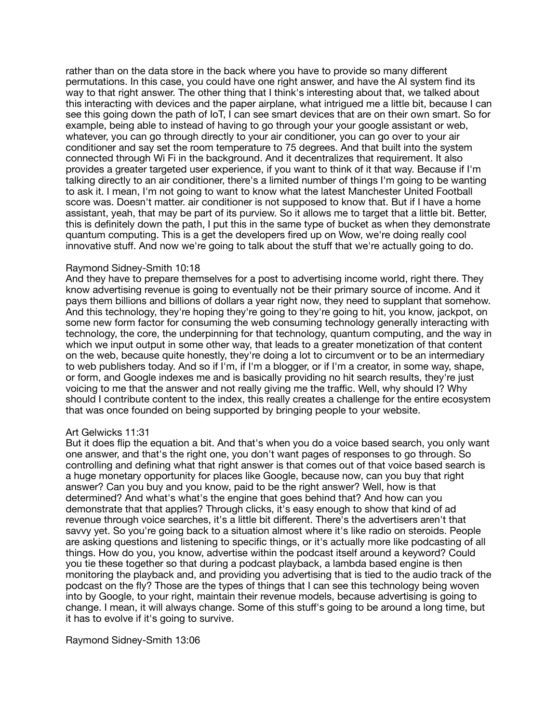rather than on the data store in the back where you have to provide so many different permutations. In this case, you could have one right answer, and have the AI system find its way to that right answer. The other thing that I think's interesting about that, we talked about this interacting with devices and the paper airplane, what intrigued me a little bit, because I can see this going down the path of IoT, I can see smart devices that are on their own smart. So for example, being able to instead of having to go through your your google assistant or web, whatever, you can go through directly to your air conditioner, you can go over to your air conditioner and say set the room temperature to 75 degrees. And that built into the system connected through Wi Fi in the background. And it decentralizes that requirement. It also provides a greater targeted user experience, if you want to think of it that way. Because if I'm talking directly to an air conditioner, there's a limited number of things I'm going to be wanting to ask it. I mean, I'm not going to want to know what the latest Manchester United Football score was. Doesn't matter. air conditioner is not supposed to know that. But if I have a home assistant, yeah, that may be part of its purview. So it allows me to target that a little bit. Better, this is definitely down the path, I put this in the same type of bucket as when they demonstrate quantum computing. This is a get the developers fired up on Wow, we're doing really cool innovative stuff. And now we're going to talk about the stuff that we're actually going to do.

## Raymond Sidney-Smith 10:18

And they have to prepare themselves for a post to advertising income world, right there. They know advertising revenue is going to eventually not be their primary source of income. And it pays them billions and billions of dollars a year right now, they need to supplant that somehow. And this technology, they're hoping they're going to they're going to hit, you know, jackpot, on some new form factor for consuming the web consuming technology generally interacting with technology, the core, the underpinning for that technology, quantum computing, and the way in which we input output in some other way, that leads to a greater monetization of that content on the web, because quite honestly, they're doing a lot to circumvent or to be an intermediary to web publishers today. And so if I'm, if I'm a blogger, or if I'm a creator, in some way, shape, or form, and Google indexes me and is basically providing no hit search results, they're just voicing to me that the answer and not really giving me the traffic. Well, why should I? Why should I contribute content to the index, this really creates a challenge for the entire ecosystem that was once founded on being supported by bringing people to your website.

## Art Gelwicks 11:31

But it does flip the equation a bit. And that's when you do a voice based search, you only want one answer, and that's the right one, you don't want pages of responses to go through. So controlling and defining what that right answer is that comes out of that voice based search is a huge monetary opportunity for places like Google, because now, can you buy that right answer? Can you buy and you know, paid to be the right answer? Well, how is that determined? And what's what's the engine that goes behind that? And how can you demonstrate that that applies? Through clicks, it's easy enough to show that kind of ad revenue through voice searches, it's a little bit different. There's the advertisers aren't that savvy yet. So you're going back to a situation almost where it's like radio on steroids. People are asking questions and listening to specific things, or it's actually more like podcasting of all things. How do you, you know, advertise within the podcast itself around a keyword? Could you tie these together so that during a podcast playback, a lambda based engine is then monitoring the playback and, and providing you advertising that is tied to the audio track of the podcast on the fly? Those are the types of things that I can see this technology being woven into by Google, to your right, maintain their revenue models, because advertising is going to change. I mean, it will always change. Some of this stuff's going to be around a long time, but it has to evolve if it's going to survive.

Raymond Sidney-Smith 13:06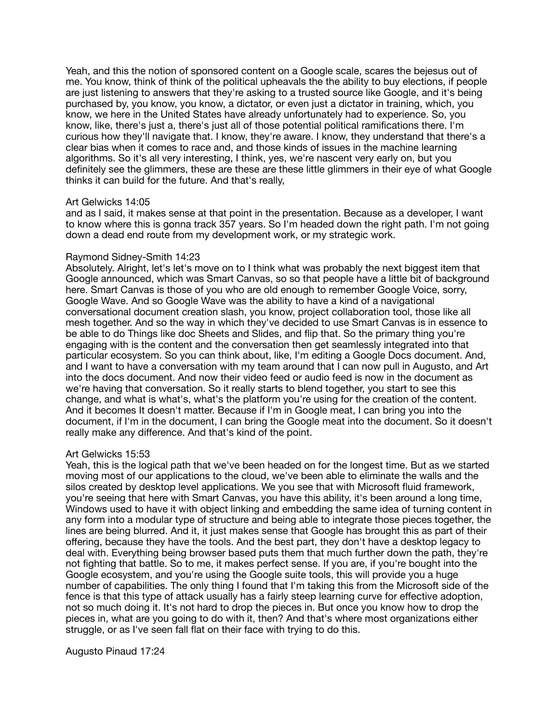Yeah, and this the notion of sponsored content on a Google scale, scares the bejesus out of me. You know, think of think of the political upheavals the the ability to buy elections, if people are just listening to answers that they're asking to a trusted source like Google, and it's being purchased by, you know, you know, a dictator, or even just a dictator in training, which, you know, we here in the United States have already unfortunately had to experience. So, you know, like, there's just a, there's just all of those potential political ramifications there. I'm curious how they'll navigate that. I know, they're aware. I know, they understand that there's a clear bias when it comes to race and, and those kinds of issues in the machine learning algorithms. So it's all very interesting, I think, yes, we're nascent very early on, but you definitely see the glimmers, these are these are these little glimmers in their eye of what Google thinks it can build for the future. And that's really,

## Art Gelwicks 14:05

and as I said, it makes sense at that point in the presentation. Because as a developer, I want to know where this is gonna track 357 years. So I'm headed down the right path. I'm not going down a dead end route from my development work, or my strategic work.

## Raymond Sidney-Smith 14:23

Absolutely. Alright, let's let's move on to I think what was probably the next biggest item that Google announced, which was Smart Canvas, so so that people have a little bit of background here. Smart Canvas is those of you who are old enough to remember Google Voice, sorry, Google Wave. And so Google Wave was the ability to have a kind of a navigational conversational document creation slash, you know, project collaboration tool, those like all mesh together. And so the way in which they've decided to use Smart Canvas is in essence to be able to do Things like doc Sheets and Slides, and flip that. So the primary thing you're engaging with is the content and the conversation then get seamlessly integrated into that particular ecosystem. So you can think about, like, I'm editing a Google Docs document. And, and I want to have a conversation with my team around that I can now pull in Augusto, and Art into the docs document. And now their video feed or audio feed is now in the document as we're having that conversation. So it really starts to blend together, you start to see this change, and what is what's, what's the platform you're using for the creation of the content. And it becomes It doesn't matter. Because if I'm in Google meat, I can bring you into the document, if I'm in the document, I can bring the Google meat into the document. So it doesn't really make any difference. And that's kind of the point.

# Art Gelwicks 15:53

Yeah, this is the logical path that we've been headed on for the longest time. But as we started moving most of our applications to the cloud, we've been able to eliminate the walls and the silos created by desktop level applications. We you see that with Microsoft fluid framework, you're seeing that here with Smart Canvas, you have this ability, it's been around a long time, Windows used to have it with object linking and embedding the same idea of turning content in any form into a modular type of structure and being able to integrate those pieces together, the lines are being blurred. And it, it just makes sense that Google has brought this as part of their offering, because they have the tools. And the best part, they don't have a desktop legacy to deal with. Everything being browser based puts them that much further down the path, they're not fighting that battle. So to me, it makes perfect sense. If you are, if you're bought into the Google ecosystem, and you're using the Google suite tools, this will provide you a huge number of capabilities. The only thing I found that I'm taking this from the Microsoft side of the fence is that this type of attack usually has a fairly steep learning curve for effective adoption, not so much doing it. It's not hard to drop the pieces in. But once you know how to drop the pieces in, what are you going to do with it, then? And that's where most organizations either struggle, or as I've seen fall flat on their face with trying to do this.

# Augusto Pinaud 17:24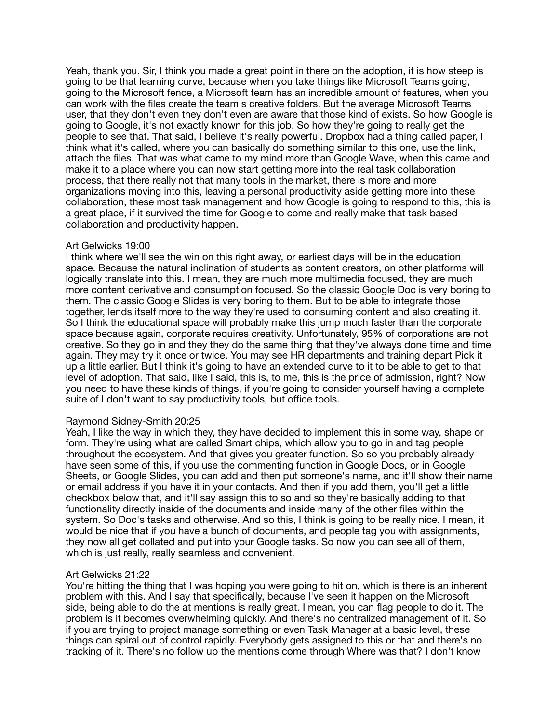Yeah, thank you. Sir, I think you made a great point in there on the adoption, it is how steep is going to be that learning curve, because when you take things like Microsoft Teams going, going to the Microsoft fence, a Microsoft team has an incredible amount of features, when you can work with the files create the team's creative folders. But the average Microsoft Teams user, that they don't even they don't even are aware that those kind of exists. So how Google is going to Google, it's not exactly known for this job. So how they're going to really get the people to see that. That said, I believe it's really powerful. Dropbox had a thing called paper, I think what it's called, where you can basically do something similar to this one, use the link, attach the files. That was what came to my mind more than Google Wave, when this came and make it to a place where you can now start getting more into the real task collaboration process, that there really not that many tools in the market, there is more and more organizations moving into this, leaving a personal productivity aside getting more into these collaboration, these most task management and how Google is going to respond to this, this is a great place, if it survived the time for Google to come and really make that task based collaboration and productivity happen.

## Art Gelwicks 19:00

I think where we'll see the win on this right away, or earliest days will be in the education space. Because the natural inclination of students as content creators, on other platforms will logically translate into this. I mean, they are much more multimedia focused, they are much more content derivative and consumption focused. So the classic Google Doc is very boring to them. The classic Google Slides is very boring to them. But to be able to integrate those together, lends itself more to the way they're used to consuming content and also creating it. So I think the educational space will probably make this jump much faster than the corporate space because again, corporate requires creativity. Unfortunately, 95% of corporations are not creative. So they go in and they they do the same thing that they've always done time and time again. They may try it once or twice. You may see HR departments and training depart Pick it up a little earlier. But I think it's going to have an extended curve to it to be able to get to that level of adoption. That said, like I said, this is, to me, this is the price of admission, right? Now you need to have these kinds of things, if you're going to consider yourself having a complete suite of I don't want to say productivity tools, but office tools.

## Raymond Sidney-Smith 20:25

Yeah, I like the way in which they, they have decided to implement this in some way, shape or form. They're using what are called Smart chips, which allow you to go in and tag people throughout the ecosystem. And that gives you greater function. So so you probably already have seen some of this, if you use the commenting function in Google Docs, or in Google Sheets, or Google Slides, you can add and then put someone's name, and it'll show their name or email address if you have it in your contacts. And then if you add them, you'll get a little checkbox below that, and it'll say assign this to so and so they're basically adding to that functionality directly inside of the documents and inside many of the other files within the system. So Doc's tasks and otherwise. And so this, I think is going to be really nice. I mean, it would be nice that if you have a bunch of documents, and people tag you with assignments, they now all get collated and put into your Google tasks. So now you can see all of them, which is just really, really seamless and convenient.

# Art Gelwicks 21:22

You're hitting the thing that I was hoping you were going to hit on, which is there is an inherent problem with this. And I say that specifically, because I've seen it happen on the Microsoft side, being able to do the at mentions is really great. I mean, you can flag people to do it. The problem is it becomes overwhelming quickly. And there's no centralized management of it. So if you are trying to project manage something or even Task Manager at a basic level, these things can spiral out of control rapidly. Everybody gets assigned to this or that and there's no tracking of it. There's no follow up the mentions come through Where was that? I don't know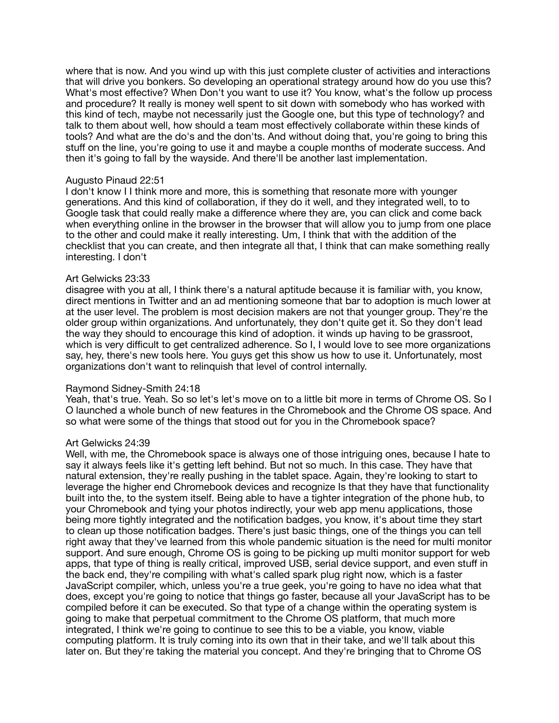where that is now. And you wind up with this just complete cluster of activities and interactions that will drive you bonkers. So developing an operational strategy around how do you use this? What's most effective? When Don't you want to use it? You know, what's the follow up process and procedure? It really is money well spent to sit down with somebody who has worked with this kind of tech, maybe not necessarily just the Google one, but this type of technology? and talk to them about well, how should a team most effectively collaborate within these kinds of tools? And what are the do's and the don'ts. And without doing that, you're going to bring this stuff on the line, you're going to use it and maybe a couple months of moderate success. And then it's going to fall by the wayside. And there'll be another last implementation.

## Augusto Pinaud 22:51

I don't know I I think more and more, this is something that resonate more with younger generations. And this kind of collaboration, if they do it well, and they integrated well, to to Google task that could really make a difference where they are, you can click and come back when everything online in the browser in the browser that will allow you to jump from one place to the other and could make it really interesting. Um, I think that with the addition of the checklist that you can create, and then integrate all that, I think that can make something really interesting. I don't

## Art Gelwicks 23:33

disagree with you at all, I think there's a natural aptitude because it is familiar with, you know, direct mentions in Twitter and an ad mentioning someone that bar to adoption is much lower at at the user level. The problem is most decision makers are not that younger group. They're the older group within organizations. And unfortunately, they don't quite get it. So they don't lead the way they should to encourage this kind of adoption. it winds up having to be grassroot, which is very difficult to get centralized adherence. So I, I would love to see more organizations say, hey, there's new tools here. You guys get this show us how to use it. Unfortunately, most organizations don't want to relinquish that level of control internally.

# Raymond Sidney-Smith 24:18

Yeah, that's true. Yeah. So so let's let's move on to a little bit more in terms of Chrome OS. So I O launched a whole bunch of new features in the Chromebook and the Chrome OS space. And so what were some of the things that stood out for you in the Chromebook space?

## Art Gelwicks 24:39

Well, with me, the Chromebook space is always one of those intriguing ones, because I hate to say it always feels like it's getting left behind. But not so much. In this case. They have that natural extension, they're really pushing in the tablet space. Again, they're looking to start to leverage the higher end Chromebook devices and recognize Is that they have that functionality built into the, to the system itself. Being able to have a tighter integration of the phone hub, to your Chromebook and tying your photos indirectly, your web app menu applications, those being more tightly integrated and the notification badges, you know, it's about time they start to clean up those notification badges. There's just basic things, one of the things you can tell right away that they've learned from this whole pandemic situation is the need for multi monitor support. And sure enough, Chrome OS is going to be picking up multi monitor support for web apps, that type of thing is really critical, improved USB, serial device support, and even stuff in the back end, they're compiling with what's called spark plug right now, which is a faster JavaScript compiler, which, unless you're a true geek, you're going to have no idea what that does, except you're going to notice that things go faster, because all your JavaScript has to be compiled before it can be executed. So that type of a change within the operating system is going to make that perpetual commitment to the Chrome OS platform, that much more integrated, I think we're going to continue to see this to be a viable, you know, viable computing platform. It is truly coming into its own that in their take, and we'll talk about this later on. But they're taking the material you concept. And they're bringing that to Chrome OS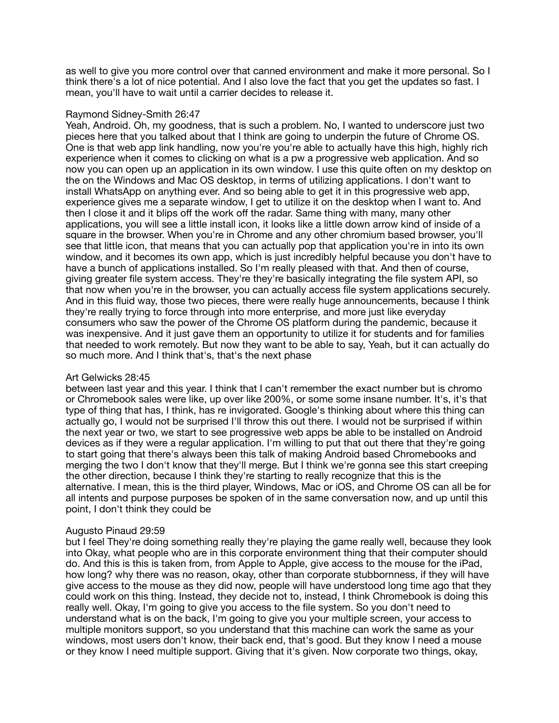as well to give you more control over that canned environment and make it more personal. So I think there's a lot of nice potential. And I also love the fact that you get the updates so fast. I mean, you'll have to wait until a carrier decides to release it.

## Raymond Sidney-Smith 26:47

Yeah, Android. Oh, my goodness, that is such a problem. No, I wanted to underscore just two pieces here that you talked about that I think are going to underpin the future of Chrome OS. One is that web app link handling, now you're you're able to actually have this high, highly rich experience when it comes to clicking on what is a pw a progressive web application. And so now you can open up an application in its own window. I use this quite often on my desktop on the on the Windows and Mac OS desktop, in terms of utilizing applications. I don't want to install WhatsApp on anything ever. And so being able to get it in this progressive web app, experience gives me a separate window, I get to utilize it on the desktop when I want to. And then I close it and it blips off the work off the radar. Same thing with many, many other applications, you will see a little install icon, it looks like a little down arrow kind of inside of a square in the browser. When you're in Chrome and any other chromium based browser, you'll see that little icon, that means that you can actually pop that application you're in into its own window, and it becomes its own app, which is just incredibly helpful because you don't have to have a bunch of applications installed. So I'm really pleased with that. And then of course, giving greater file system access. They're they're basically integrating the file system API, so that now when you're in the browser, you can actually access file system applications securely. And in this fluid way, those two pieces, there were really huge announcements, because I think they're really trying to force through into more enterprise, and more just like everyday consumers who saw the power of the Chrome OS platform during the pandemic, because it was inexpensive. And it just gave them an opportunity to utilize it for students and for families that needed to work remotely. But now they want to be able to say, Yeah, but it can actually do so much more. And I think that's, that's the next phase

# Art Gelwicks 28:45

between last year and this year. I think that I can't remember the exact number but is chromo or Chromebook sales were like, up over like 200%, or some some insane number. It's, it's that type of thing that has, I think, has re invigorated. Google's thinking about where this thing can actually go, I would not be surprised I'll throw this out there. I would not be surprised if within the next year or two, we start to see progressive web apps be able to be installed on Android devices as if they were a regular application. I'm willing to put that out there that they're going to start going that there's always been this talk of making Android based Chromebooks and merging the two I don't know that they'll merge. But I think we're gonna see this start creeping the other direction, because I think they're starting to really recognize that this is the alternative. I mean, this is the third player, Windows, Mac or iOS, and Chrome OS can all be for all intents and purpose purposes be spoken of in the same conversation now, and up until this point, I don't think they could be

## Augusto Pinaud 29:59

but I feel They're doing something really they're playing the game really well, because they look into Okay, what people who are in this corporate environment thing that their computer should do. And this is this is taken from, from Apple to Apple, give access to the mouse for the iPad, how long? why there was no reason, okay, other than corporate stubbornness, if they will have give access to the mouse as they did now, people will have understood long time ago that they could work on this thing. Instead, they decide not to, instead, I think Chromebook is doing this really well. Okay, I'm going to give you access to the file system. So you don't need to understand what is on the back, I'm going to give you your multiple screen, your access to multiple monitors support, so you understand that this machine can work the same as your windows, most users don't know, their back end, that's good. But they know I need a mouse or they know I need multiple support. Giving that it's given. Now corporate two things, okay,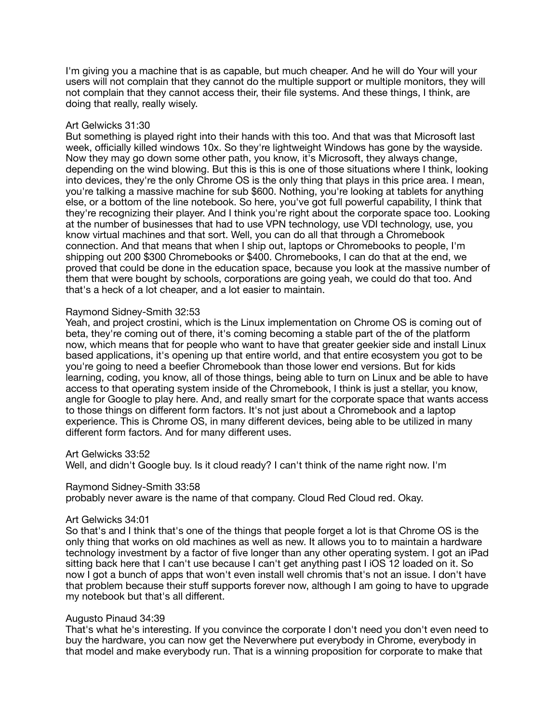I'm giving you a machine that is as capable, but much cheaper. And he will do Your will your users will not complain that they cannot do the multiple support or multiple monitors, they will not complain that they cannot access their, their file systems. And these things, I think, are doing that really, really wisely.

# Art Gelwicks 31:30

But something is played right into their hands with this too. And that was that Microsoft last week, officially killed windows 10x. So they're lightweight Windows has gone by the wayside. Now they may go down some other path, you know, it's Microsoft, they always change, depending on the wind blowing. But this is this is one of those situations where I think, looking into devices, they're the only Chrome OS is the only thing that plays in this price area. I mean, you're talking a massive machine for sub \$600. Nothing, you're looking at tablets for anything else, or a bottom of the line notebook. So here, you've got full powerful capability, I think that they're recognizing their player. And I think you're right about the corporate space too. Looking at the number of businesses that had to use VPN technology, use VDI technology, use, you know virtual machines and that sort. Well, you can do all that through a Chromebook connection. And that means that when I ship out, laptops or Chromebooks to people, I'm shipping out 200 \$300 Chromebooks or \$400. Chromebooks, I can do that at the end, we proved that could be done in the education space, because you look at the massive number of them that were bought by schools, corporations are going yeah, we could do that too. And that's a heck of a lot cheaper, and a lot easier to maintain.

## Raymond Sidney-Smith 32:53

Yeah, and project crostini, which is the Linux implementation on Chrome OS is coming out of beta, they're coming out of there, it's coming becoming a stable part of the of the platform now, which means that for people who want to have that greater geekier side and install Linux based applications, it's opening up that entire world, and that entire ecosystem you got to be you're going to need a beefier Chromebook than those lower end versions. But for kids learning, coding, you know, all of those things, being able to turn on Linux and be able to have access to that operating system inside of the Chromebook, I think is just a stellar, you know, angle for Google to play here. And, and really smart for the corporate space that wants access to those things on different form factors. It's not just about a Chromebook and a laptop experience. This is Chrome OS, in many different devices, being able to be utilized in many different form factors. And for many different uses.

## Art Gelwicks 33:52

Well, and didn't Google buy. Is it cloud ready? I can't think of the name right now. I'm

## Raymond Sidney-Smith 33:58

probably never aware is the name of that company. Cloud Red Cloud red. Okay.

## Art Gelwicks 34:01

So that's and I think that's one of the things that people forget a lot is that Chrome OS is the only thing that works on old machines as well as new. It allows you to to maintain a hardware technology investment by a factor of five longer than any other operating system. I got an iPad sitting back here that I can't use because I can't get anything past I iOS 12 loaded on it. So now I got a bunch of apps that won't even install well chromis that's not an issue. I don't have that problem because their stuff supports forever now, although I am going to have to upgrade my notebook but that's all different.

## Augusto Pinaud 34:39

That's what he's interesting. If you convince the corporate I don't need you don't even need to buy the hardware, you can now get the Neverwhere put everybody in Chrome, everybody in that model and make everybody run. That is a winning proposition for corporate to make that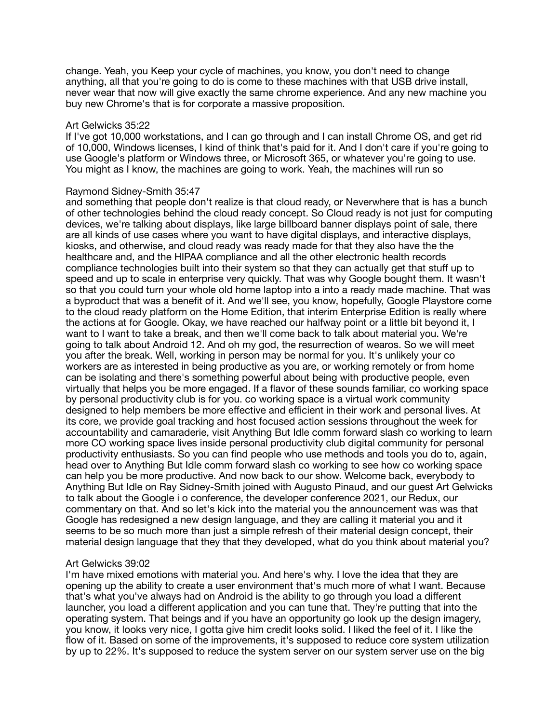change. Yeah, you Keep your cycle of machines, you know, you don't need to change anything, all that you're going to do is come to these machines with that USB drive install, never wear that now will give exactly the same chrome experience. And any new machine you buy new Chrome's that is for corporate a massive proposition.

## Art Gelwicks 35:22

If I've got 10,000 workstations, and I can go through and I can install Chrome OS, and get rid of 10,000, Windows licenses, I kind of think that's paid for it. And I don't care if you're going to use Google's platform or Windows three, or Microsoft 365, or whatever you're going to use. You might as I know, the machines are going to work. Yeah, the machines will run so

## Raymond Sidney-Smith 35:47

and something that people don't realize is that cloud ready, or Neverwhere that is has a bunch of other technologies behind the cloud ready concept. So Cloud ready is not just for computing devices, we're talking about displays, like large billboard banner displays point of sale, there are all kinds of use cases where you want to have digital displays, and interactive displays, kiosks, and otherwise, and cloud ready was ready made for that they also have the the healthcare and, and the HIPAA compliance and all the other electronic health records compliance technologies built into their system so that they can actually get that stuff up to speed and up to scale in enterprise very quickly. That was why Google bought them. It wasn't so that you could turn your whole old home laptop into a into a ready made machine. That was a byproduct that was a benefit of it. And we'll see, you know, hopefully, Google Playstore come to the cloud ready platform on the Home Edition, that interim Enterprise Edition is really where the actions at for Google. Okay, we have reached our halfway point or a little bit beyond it, I want to I want to take a break, and then we'll come back to talk about material you. We're going to talk about Android 12. And oh my god, the resurrection of wearos. So we will meet you after the break. Well, working in person may be normal for you. It's unlikely your co workers are as interested in being productive as you are, or working remotely or from home can be isolating and there's something powerful about being with productive people, even virtually that helps you be more engaged. If a flavor of these sounds familiar, co working space by personal productivity club is for you. co working space is a virtual work community designed to help members be more effective and efficient in their work and personal lives. At its core, we provide goal tracking and host focused action sessions throughout the week for accountability and camaraderie, visit Anything But Idle comm forward slash co working to learn more CO working space lives inside personal productivity club digital community for personal productivity enthusiasts. So you can find people who use methods and tools you do to, again, head over to Anything But Idle comm forward slash co working to see how co working space can help you be more productive. And now back to our show. Welcome back, everybody to Anything But Idle on Ray Sidney-Smith joined with Augusto Pinaud, and our guest Art Gelwicks to talk about the Google i o conference, the developer conference 2021, our Redux, our commentary on that. And so let's kick into the material you the announcement was was that Google has redesigned a new design language, and they are calling it material you and it seems to be so much more than just a simple refresh of their material design concept, their material design language that they that they developed, what do you think about material you?

# Art Gelwicks 39:02

I'm have mixed emotions with material you. And here's why. I love the idea that they are opening up the ability to create a user environment that's much more of what I want. Because that's what you've always had on Android is the ability to go through you load a different launcher, you load a different application and you can tune that. They're putting that into the operating system. That beings and if you have an opportunity go look up the design imagery, you know, it looks very nice, I gotta give him credit looks solid. I liked the feel of it. I like the flow of it. Based on some of the improvements, it's supposed to reduce core system utilization by up to 22%. It's supposed to reduce the system server on our system server use on the big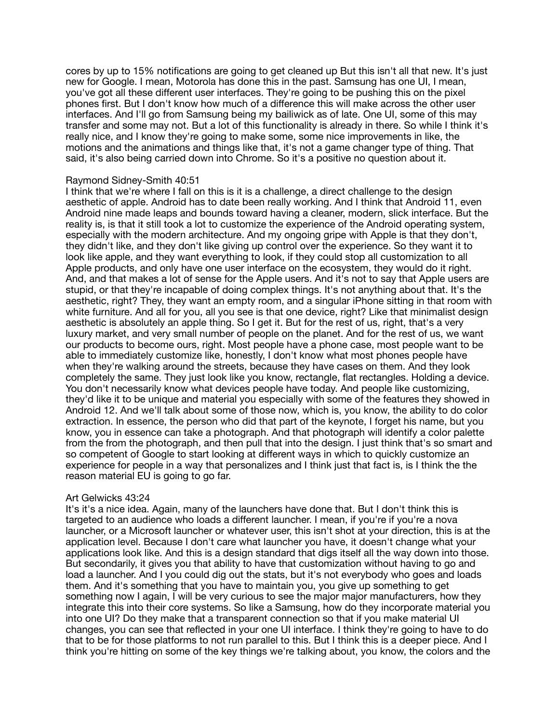cores by up to 15% notifications are going to get cleaned up But this isn't all that new. It's just new for Google. I mean, Motorola has done this in the past. Samsung has one UI, I mean, you've got all these different user interfaces. They're going to be pushing this on the pixel phones first. But I don't know how much of a difference this will make across the other user interfaces. And I'll go from Samsung being my bailiwick as of late. One UI, some of this may transfer and some may not. But a lot of this functionality is already in there. So while I think it's really nice, and I know they're going to make some, some nice improvements in like, the motions and the animations and things like that, it's not a game changer type of thing. That said, it's also being carried down into Chrome. So it's a positive no question about it.

## Raymond Sidney-Smith 40:51

I think that we're where I fall on this is it is a challenge, a direct challenge to the design aesthetic of apple. Android has to date been really working. And I think that Android 11, even Android nine made leaps and bounds toward having a cleaner, modern, slick interface. But the reality is, is that it still took a lot to customize the experience of the Android operating system, especially with the modern architecture. And my ongoing gripe with Apple is that they don't, they didn't like, and they don't like giving up control over the experience. So they want it to look like apple, and they want everything to look, if they could stop all customization to all Apple products, and only have one user interface on the ecosystem, they would do it right. And, and that makes a lot of sense for the Apple users. And it's not to say that Apple users are stupid, or that they're incapable of doing complex things. It's not anything about that. It's the aesthetic, right? They, they want an empty room, and a singular iPhone sitting in that room with white furniture. And all for you, all you see is that one device, right? Like that minimalist design aesthetic is absolutely an apple thing. So I get it. But for the rest of us, right, that's a very luxury market, and very small number of people on the planet. And for the rest of us, we want our products to become ours, right. Most people have a phone case, most people want to be able to immediately customize like, honestly, I don't know what most phones people have when they're walking around the streets, because they have cases on them. And they look completely the same. They just look like you know, rectangle, flat rectangles. Holding a device. You don't necessarily know what devices people have today. And people like customizing, they'd like it to be unique and material you especially with some of the features they showed in Android 12. And we'll talk about some of those now, which is, you know, the ability to do color extraction. In essence, the person who did that part of the keynote, I forget his name, but you know, you in essence can take a photograph. And that photograph will identify a color palette from the from the photograph, and then pull that into the design. I just think that's so smart and so competent of Google to start looking at different ways in which to quickly customize an experience for people in a way that personalizes and I think just that fact is, is I think the the reason material EU is going to go far.

# Art Gelwicks 43:24

It's it's a nice idea. Again, many of the launchers have done that. But I don't think this is targeted to an audience who loads a different launcher. I mean, if you're if you're a nova launcher, or a Microsoft launcher or whatever user, this isn't shot at your direction, this is at the application level. Because I don't care what launcher you have, it doesn't change what your applications look like. And this is a design standard that digs itself all the way down into those. But secondarily, it gives you that ability to have that customization without having to go and load a launcher. And I you could dig out the stats, but it's not everybody who goes and loads them. And it's something that you have to maintain you, you give up something to get something now I again, I will be very curious to see the major major manufacturers, how they integrate this into their core systems. So like a Samsung, how do they incorporate material you into one UI? Do they make that a transparent connection so that if you make material UI changes, you can see that reflected in your one UI interface. I think they're going to have to do that to be for those platforms to not run parallel to this. But I think this is a deeper piece. And I think you're hitting on some of the key things we're talking about, you know, the colors and the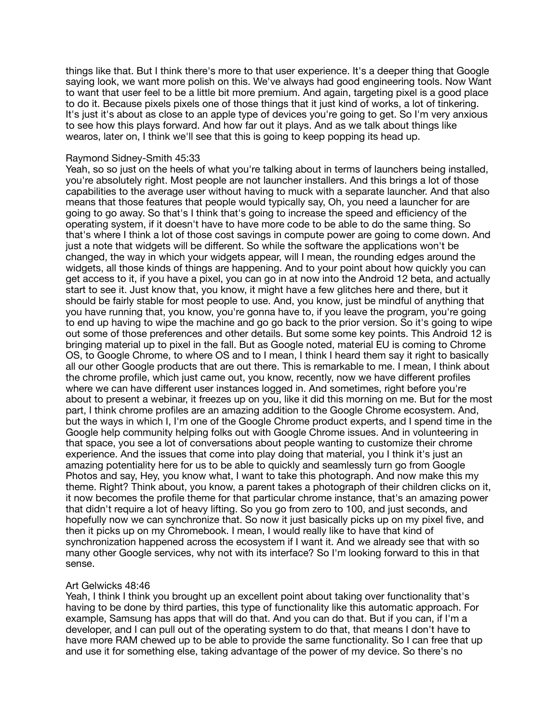things like that. But I think there's more to that user experience. It's a deeper thing that Google saying look, we want more polish on this. We've always had good engineering tools. Now Want to want that user feel to be a little bit more premium. And again, targeting pixel is a good place to do it. Because pixels pixels one of those things that it just kind of works, a lot of tinkering. It's just it's about as close to an apple type of devices you're going to get. So I'm very anxious to see how this plays forward. And how far out it plays. And as we talk about things like wearos, later on, I think we'll see that this is going to keep popping its head up.

## Raymond Sidney-Smith 45:33

Yeah, so so just on the heels of what you're talking about in terms of launchers being installed, you're absolutely right. Most people are not launcher installers. And this brings a lot of those capabilities to the average user without having to muck with a separate launcher. And that also means that those features that people would typically say, Oh, you need a launcher for are going to go away. So that's I think that's going to increase the speed and efficiency of the operating system, if it doesn't have to have more code to be able to do the same thing. So that's where I think a lot of those cost savings in compute power are going to come down. And just a note that widgets will be different. So while the software the applications won't be changed, the way in which your widgets appear, will I mean, the rounding edges around the widgets, all those kinds of things are happening. And to your point about how quickly you can get access to it, if you have a pixel, you can go in at now into the Android 12 beta, and actually start to see it. Just know that, you know, it might have a few glitches here and there, but it should be fairly stable for most people to use. And, you know, just be mindful of anything that you have running that, you know, you're gonna have to, if you leave the program, you're going to end up having to wipe the machine and go go back to the prior version. So it's going to wipe out some of those preferences and other details. But some some key points. This Android 12 is bringing material up to pixel in the fall. But as Google noted, material EU is coming to Chrome OS, to Google Chrome, to where OS and to I mean, I think I heard them say it right to basically all our other Google products that are out there. This is remarkable to me. I mean, I think about the chrome profile, which just came out, you know, recently, now we have different profiles where we can have different user instances logged in. And sometimes, right before you're about to present a webinar, it freezes up on you, like it did this morning on me. But for the most part, I think chrome profiles are an amazing addition to the Google Chrome ecosystem. And, but the ways in which I, I'm one of the Google Chrome product experts, and I spend time in the Google help community helping folks out with Google Chrome issues. And in volunteering in that space, you see a lot of conversations about people wanting to customize their chrome experience. And the issues that come into play doing that material, you I think it's just an amazing potentiality here for us to be able to quickly and seamlessly turn go from Google Photos and say, Hey, you know what, I want to take this photograph. And now make this my theme. Right? Think about, you know, a parent takes a photograph of their children clicks on it, it now becomes the profile theme for that particular chrome instance, that's an amazing power that didn't require a lot of heavy lifting. So you go from zero to 100, and just seconds, and hopefully now we can synchronize that. So now it just basically picks up on my pixel five, and then it picks up on my Chromebook. I mean, I would really like to have that kind of synchronization happened across the ecosystem if I want it. And we already see that with so many other Google services, why not with its interface? So I'm looking forward to this in that sense.

# Art Gelwicks 48:46

Yeah, I think I think you brought up an excellent point about taking over functionality that's having to be done by third parties, this type of functionality like this automatic approach. For example, Samsung has apps that will do that. And you can do that. But if you can, if I'm a developer, and I can pull out of the operating system to do that, that means I don't have to have more RAM chewed up to be able to provide the same functionality. So I can free that up and use it for something else, taking advantage of the power of my device. So there's no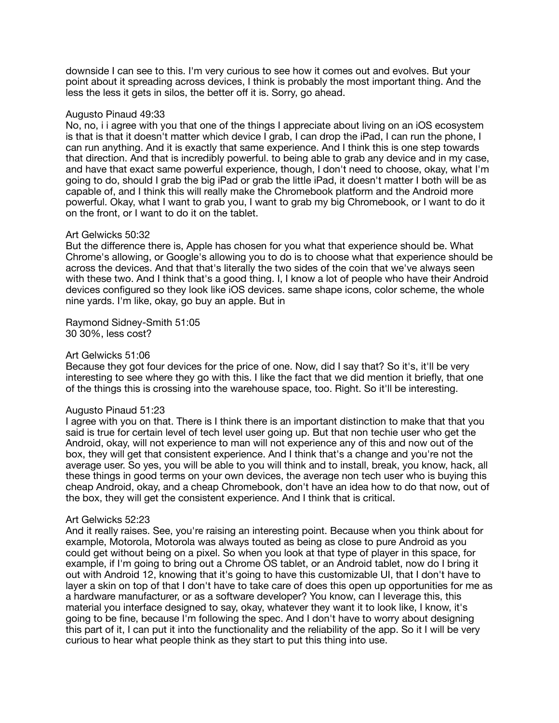downside I can see to this. I'm very curious to see how it comes out and evolves. But your point about it spreading across devices, I think is probably the most important thing. And the less the less it gets in silos, the better off it is. Sorry, go ahead.

## Augusto Pinaud 49:33

No, no, i i agree with you that one of the things I appreciate about living on an iOS ecosystem is that is that it doesn't matter which device I grab, I can drop the iPad, I can run the phone, I can run anything. And it is exactly that same experience. And I think this is one step towards that direction. And that is incredibly powerful. to being able to grab any device and in my case, and have that exact same powerful experience, though, I don't need to choose, okay, what I'm going to do, should I grab the big iPad or grab the little iPad, it doesn't matter I both will be as capable of, and I think this will really make the Chromebook platform and the Android more powerful. Okay, what I want to grab you, I want to grab my big Chromebook, or I want to do it on the front, or I want to do it on the tablet.

## Art Gelwicks 50:32

But the difference there is, Apple has chosen for you what that experience should be. What Chrome's allowing, or Google's allowing you to do is to choose what that experience should be across the devices. And that that's literally the two sides of the coin that we've always seen with these two. And I think that's a good thing. I, I know a lot of people who have their Android devices configured so they look like iOS devices. same shape icons, color scheme, the whole nine yards. I'm like, okay, go buy an apple. But in

Raymond Sidney-Smith 51:05 30 30%, less cost?

## Art Gelwicks 51:06

Because they got four devices for the price of one. Now, did I say that? So it's, it'll be very interesting to see where they go with this. I like the fact that we did mention it briefly, that one of the things this is crossing into the warehouse space, too. Right. So it'll be interesting.

## Augusto Pinaud 51:23

I agree with you on that. There is I think there is an important distinction to make that that you said is true for certain level of tech level user going up. But that non techie user who get the Android, okay, will not experience to man will not experience any of this and now out of the box, they will get that consistent experience. And I think that's a change and you're not the average user. So yes, you will be able to you will think and to install, break, you know, hack, all these things in good terms on your own devices, the average non tech user who is buying this cheap Android, okay, and a cheap Chromebook, don't have an idea how to do that now, out of the box, they will get the consistent experience. And I think that is critical.

## Art Gelwicks 52:23

And it really raises. See, you're raising an interesting point. Because when you think about for example, Motorola, Motorola was always touted as being as close to pure Android as you could get without being on a pixel. So when you look at that type of player in this space, for example, if I'm going to bring out a Chrome OS tablet, or an Android tablet, now do I bring it out with Android 12, knowing that it's going to have this customizable UI, that I don't have to layer a skin on top of that I don't have to take care of does this open up opportunities for me as a hardware manufacturer, or as a software developer? You know, can I leverage this, this material you interface designed to say, okay, whatever they want it to look like, I know, it's going to be fine, because I'm following the spec. And I don't have to worry about designing this part of it, I can put it into the functionality and the reliability of the app. So it I will be very curious to hear what people think as they start to put this thing into use.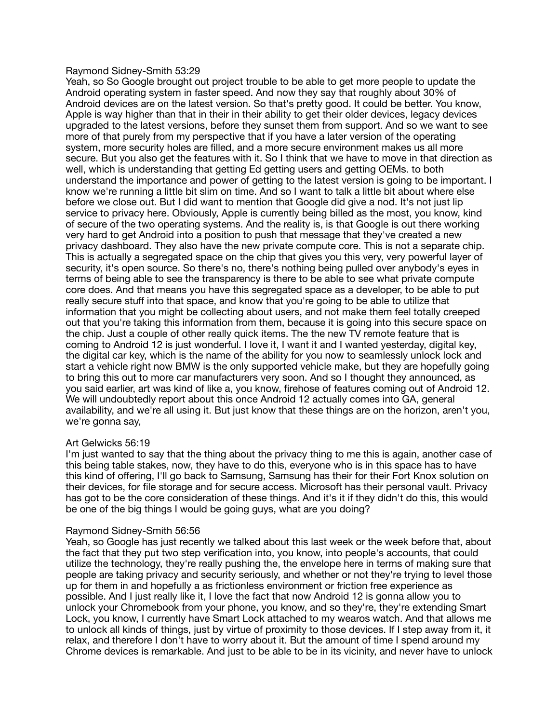## Raymond Sidney-Smith 53:29

Yeah, so So Google brought out project trouble to be able to get more people to update the Android operating system in faster speed. And now they say that roughly about 30% of Android devices are on the latest version. So that's pretty good. It could be better. You know, Apple is way higher than that in their in their ability to get their older devices, legacy devices upgraded to the latest versions, before they sunset them from support. And so we want to see more of that purely from my perspective that if you have a later version of the operating system, more security holes are filled, and a more secure environment makes us all more secure. But you also get the features with it. So I think that we have to move in that direction as well, which is understanding that getting Ed getting users and getting OEMs. to both understand the importance and power of getting to the latest version is going to be important. I know we're running a little bit slim on time. And so I want to talk a little bit about where else before we close out. But I did want to mention that Google did give a nod. It's not just lip service to privacy here. Obviously, Apple is currently being billed as the most, you know, kind of secure of the two operating systems. And the reality is, is that Google is out there working very hard to get Android into a position to push that message that they've created a new privacy dashboard. They also have the new private compute core. This is not a separate chip. This is actually a segregated space on the chip that gives you this very, very powerful layer of security, it's open source. So there's no, there's nothing being pulled over anybody's eyes in terms of being able to see the transparency is there to be able to see what private compute core does. And that means you have this segregated space as a developer, to be able to put really secure stuff into that space, and know that you're going to be able to utilize that information that you might be collecting about users, and not make them feel totally creeped out that you're taking this information from them, because it is going into this secure space on the chip. Just a couple of other really quick items. The the new TV remote feature that is coming to Android 12 is just wonderful. I love it, I want it and I wanted yesterday, digital key, the digital car key, which is the name of the ability for you now to seamlessly unlock lock and start a vehicle right now BMW is the only supported vehicle make, but they are hopefully going to bring this out to more car manufacturers very soon. And so I thought they announced, as you said earlier, art was kind of like a, you know, firehose of features coming out of Android 12. We will undoubtedly report about this once Android 12 actually comes into GA, general availability, and we're all using it. But just know that these things are on the horizon, aren't you, we're gonna say,

# Art Gelwicks 56:19

I'm just wanted to say that the thing about the privacy thing to me this is again, another case of this being table stakes, now, they have to do this, everyone who is in this space has to have this kind of offering, I'll go back to Samsung, Samsung has their for their Fort Knox solution on their devices, for file storage and for secure access. Microsoft has their personal vault. Privacy has got to be the core consideration of these things. And it's it if they didn't do this, this would be one of the big things I would be going guys, what are you doing?

# Raymond Sidney-Smith 56:56

Yeah, so Google has just recently we talked about this last week or the week before that, about the fact that they put two step verification into, you know, into people's accounts, that could utilize the technology, they're really pushing the, the envelope here in terms of making sure that people are taking privacy and security seriously, and whether or not they're trying to level those up for them in and hopefully a as frictionless environment or friction free experience as possible. And I just really like it, I love the fact that now Android 12 is gonna allow you to unlock your Chromebook from your phone, you know, and so they're, they're extending Smart Lock, you know, I currently have Smart Lock attached to my wearos watch. And that allows me to unlock all kinds of things, just by virtue of proximity to those devices. If I step away from it, it relax, and therefore I don't have to worry about it. But the amount of time I spend around my Chrome devices is remarkable. And just to be able to be in its vicinity, and never have to unlock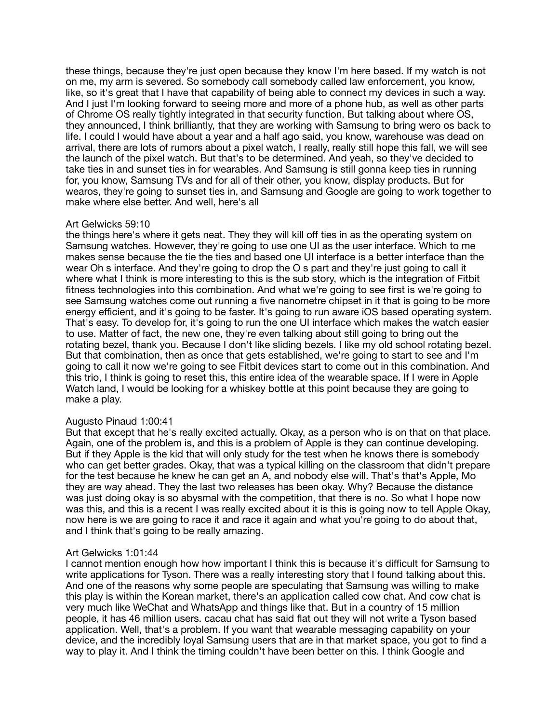these things, because they're just open because they know I'm here based. If my watch is not on me, my arm is severed. So somebody call somebody called law enforcement, you know, like, so it's great that I have that capability of being able to connect my devices in such a way. And I just I'm looking forward to seeing more and more of a phone hub, as well as other parts of Chrome OS really tightly integrated in that security function. But talking about where OS, they announced, I think brilliantly, that they are working with Samsung to bring wero os back to life. I could I would have about a year and a half ago said, you know, warehouse was dead on arrival, there are lots of rumors about a pixel watch, I really, really still hope this fall, we will see the launch of the pixel watch. But that's to be determined. And yeah, so they've decided to take ties in and sunset ties in for wearables. And Samsung is still gonna keep ties in running for, you know, Samsung TVs and for all of their other, you know, display products. But for wearos, they're going to sunset ties in, and Samsung and Google are going to work together to make where else better. And well, here's all

## Art Gelwicks 59:10

the things here's where it gets neat. They they will kill off ties in as the operating system on Samsung watches. However, they're going to use one UI as the user interface. Which to me makes sense because the tie the ties and based one UI interface is a better interface than the wear Oh s interface. And they're going to drop the O s part and they're just going to call it where what I think is more interesting to this is the sub story, which is the integration of Fitbit fitness technologies into this combination. And what we're going to see first is we're going to see Samsung watches come out running a five nanometre chipset in it that is going to be more energy efficient, and it's going to be faster. It's going to run aware iOS based operating system. That's easy. To develop for, it's going to run the one UI interface which makes the watch easier to use. Matter of fact, the new one, they're even talking about still going to bring out the rotating bezel, thank you. Because I don't like sliding bezels. I like my old school rotating bezel. But that combination, then as once that gets established, we're going to start to see and I'm going to call it now we're going to see Fitbit devices start to come out in this combination. And this trio, I think is going to reset this, this entire idea of the wearable space. If I were in Apple Watch land, I would be looking for a whiskey bottle at this point because they are going to make a play.

## Augusto Pinaud 1:00:41

But that except that he's really excited actually. Okay, as a person who is on that on that place. Again, one of the problem is, and this is a problem of Apple is they can continue developing. But if they Apple is the kid that will only study for the test when he knows there is somebody who can get better grades. Okay, that was a typical killing on the classroom that didn't prepare for the test because he knew he can get an A, and nobody else will. That's that's Apple, Mo they are way ahead. They the last two releases has been okay. Why? Because the distance was just doing okay is so abysmal with the competition, that there is no. So what I hope now was this, and this is a recent I was really excited about it is this is going now to tell Apple Okay, now here is we are going to race it and race it again and what you're going to do about that, and I think that's going to be really amazing.

## Art Gelwicks 1:01:44

I cannot mention enough how how important I think this is because it's difficult for Samsung to write applications for Tyson. There was a really interesting story that I found talking about this. And one of the reasons why some people are speculating that Samsung was willing to make this play is within the Korean market, there's an application called cow chat. And cow chat is very much like WeChat and WhatsApp and things like that. But in a country of 15 million people, it has 46 million users. cacau chat has said flat out they will not write a Tyson based application. Well, that's a problem. If you want that wearable messaging capability on your device, and the incredibly loyal Samsung users that are in that market space, you got to find a way to play it. And I think the timing couldn't have been better on this. I think Google and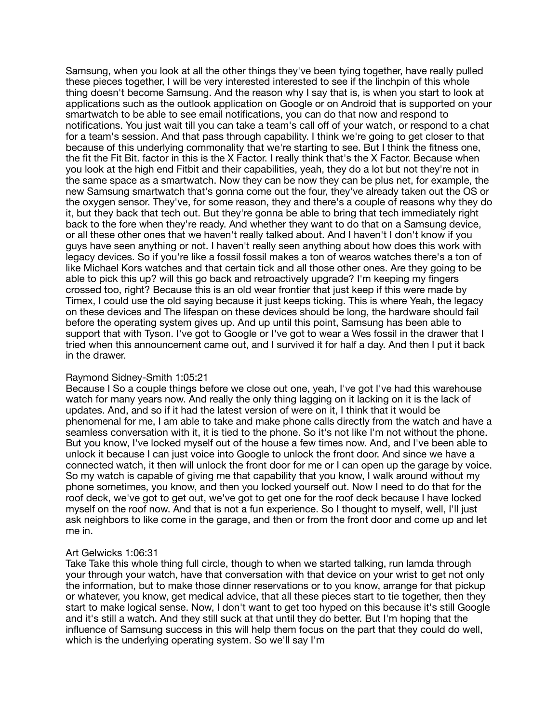Samsung, when you look at all the other things they've been tying together, have really pulled these pieces together, I will be very interested interested to see if the linchpin of this whole thing doesn't become Samsung. And the reason why I say that is, is when you start to look at applications such as the outlook application on Google or on Android that is supported on your smartwatch to be able to see email notifications, you can do that now and respond to notifications. You just wait till you can take a team's call off of your watch, or respond to a chat for a team's session. And that pass through capability. I think we're going to get closer to that because of this underlying commonality that we're starting to see. But I think the fitness one, the fit the Fit Bit. factor in this is the X Factor. I really think that's the X Factor. Because when you look at the high end Fitbit and their capabilities, yeah, they do a lot but not they're not in the same space as a smartwatch. Now they can be now they can be plus net, for example, the new Samsung smartwatch that's gonna come out the four, they've already taken out the OS or the oxygen sensor. They've, for some reason, they and there's a couple of reasons why they do it, but they back that tech out. But they're gonna be able to bring that tech immediately right back to the fore when they're ready. And whether they want to do that on a Samsung device, or all these other ones that we haven't really talked about. And I haven't I don't know if you guys have seen anything or not. I haven't really seen anything about how does this work with legacy devices. So if you're like a fossil fossil makes a ton of wearos watches there's a ton of like Michael Kors watches and that certain tick and all those other ones. Are they going to be able to pick this up? will this go back and retroactively upgrade? I'm keeping my fingers crossed too, right? Because this is an old wear frontier that just keep if this were made by Timex, I could use the old saying because it just keeps ticking. This is where Yeah, the legacy on these devices and The lifespan on these devices should be long, the hardware should fail before the operating system gives up. And up until this point, Samsung has been able to support that with Tyson. I've got to Google or I've got to wear a Wes fossil in the drawer that I tried when this announcement came out, and I survived it for half a day. And then I put it back in the drawer.

# Raymond Sidney-Smith 1:05:21

Because I So a couple things before we close out one, yeah, I've got I've had this warehouse watch for many years now. And really the only thing lagging on it lacking on it is the lack of updates. And, and so if it had the latest version of were on it, I think that it would be phenomenal for me, I am able to take and make phone calls directly from the watch and have a seamless conversation with it, it is tied to the phone. So it's not like I'm not without the phone. But you know, I've locked myself out of the house a few times now. And, and I've been able to unlock it because I can just voice into Google to unlock the front door. And since we have a connected watch, it then will unlock the front door for me or I can open up the garage by voice. So my watch is capable of giving me that capability that you know, I walk around without my phone sometimes, you know, and then you locked yourself out. Now I need to do that for the roof deck, we've got to get out, we've got to get one for the roof deck because I have locked myself on the roof now. And that is not a fun experience. So I thought to myself, well, I'll just ask neighbors to like come in the garage, and then or from the front door and come up and let me in.

## Art Gelwicks 1:06:31

Take Take this whole thing full circle, though to when we started talking, run lamda through your through your watch, have that conversation with that device on your wrist to get not only the information, but to make those dinner reservations or to you know, arrange for that pickup or whatever, you know, get medical advice, that all these pieces start to tie together, then they start to make logical sense. Now, I don't want to get too hyped on this because it's still Google and it's still a watch. And they still suck at that until they do better. But I'm hoping that the influence of Samsung success in this will help them focus on the part that they could do well, which is the underlying operating system. So we'll say I'm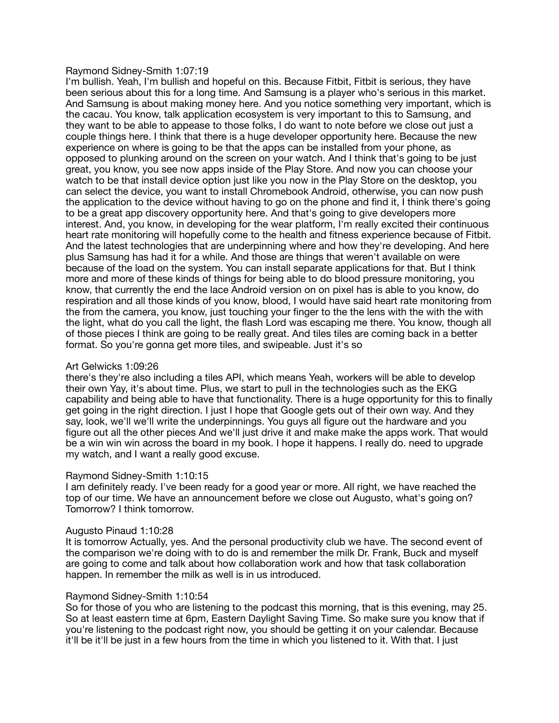## Raymond Sidney-Smith 1:07:19

I'm bullish. Yeah, I'm bullish and hopeful on this. Because Fitbit, Fitbit is serious, they have been serious about this for a long time. And Samsung is a player who's serious in this market. And Samsung is about making money here. And you notice something very important, which is the cacau. You know, talk application ecosystem is very important to this to Samsung, and they want to be able to appease to those folks, I do want to note before we close out just a couple things here. I think that there is a huge developer opportunity here. Because the new experience on where is going to be that the apps can be installed from your phone, as opposed to plunking around on the screen on your watch. And I think that's going to be just great, you know, you see now apps inside of the Play Store. And now you can choose your watch to be that install device option just like you now in the Play Store on the desktop, you can select the device, you want to install Chromebook Android, otherwise, you can now push the application to the device without having to go on the phone and find it, I think there's going to be a great app discovery opportunity here. And that's going to give developers more interest. And, you know, in developing for the wear platform, I'm really excited their continuous heart rate monitoring will hopefully come to the health and fitness experience because of Fitbit. And the latest technologies that are underpinning where and how they're developing. And here plus Samsung has had it for a while. And those are things that weren't available on were because of the load on the system. You can install separate applications for that. But I think more and more of these kinds of things for being able to do blood pressure monitoring, you know, that currently the end the lace Android version on on pixel has is able to you know, do respiration and all those kinds of you know, blood, I would have said heart rate monitoring from the from the camera, you know, just touching your finger to the the lens with the with the with the light, what do you call the light, the flash Lord was escaping me there. You know, though all of those pieces I think are going to be really great. And tiles tiles are coming back in a better format. So you're gonna get more tiles, and swipeable. Just it's so

# Art Gelwicks 1:09:26

there's they're also including a tiles API, which means Yeah, workers will be able to develop their own Yay, it's about time. Plus, we start to pull in the technologies such as the EKG capability and being able to have that functionality. There is a huge opportunity for this to finally get going in the right direction. I just I hope that Google gets out of their own way. And they say, look, we'll we'll write the underpinnings. You guys all figure out the hardware and you figure out all the other pieces And we'll just drive it and make make the apps work. That would be a win win win across the board in my book. I hope it happens. I really do. need to upgrade my watch, and I want a really good excuse.

## Raymond Sidney-Smith 1:10:15

I am definitely ready. I've been ready for a good year or more. All right, we have reached the top of our time. We have an announcement before we close out Augusto, what's going on? Tomorrow? I think tomorrow.

## Augusto Pinaud 1:10:28

It is tomorrow Actually, yes. And the personal productivity club we have. The second event of the comparison we're doing with to do is and remember the milk Dr. Frank, Buck and myself are going to come and talk about how collaboration work and how that task collaboration happen. In remember the milk as well is in us introduced.

## Raymond Sidney-Smith 1:10:54

So for those of you who are listening to the podcast this morning, that is this evening, may 25. So at least eastern time at 6pm, Eastern Daylight Saving Time. So make sure you know that if you're listening to the podcast right now, you should be getting it on your calendar. Because it'll be it'll be just in a few hours from the time in which you listened to it. With that. I just